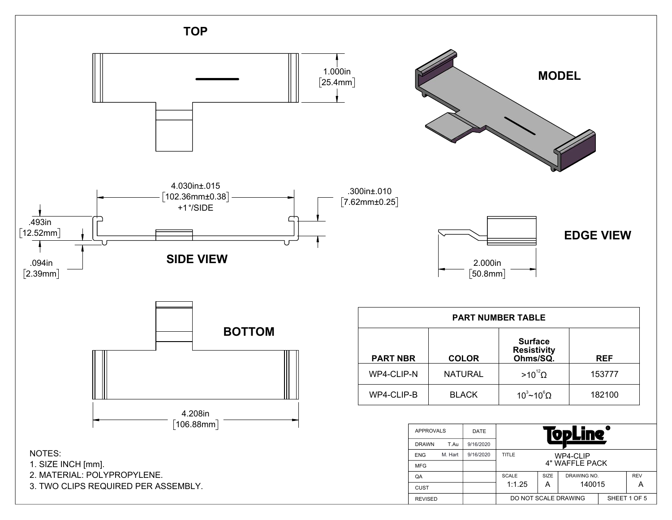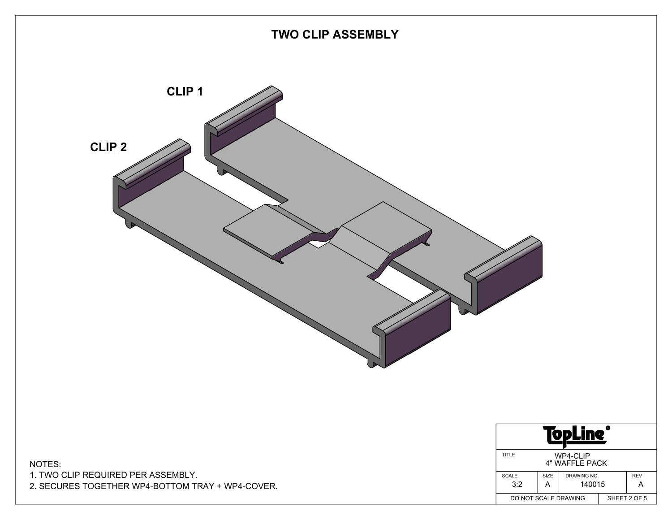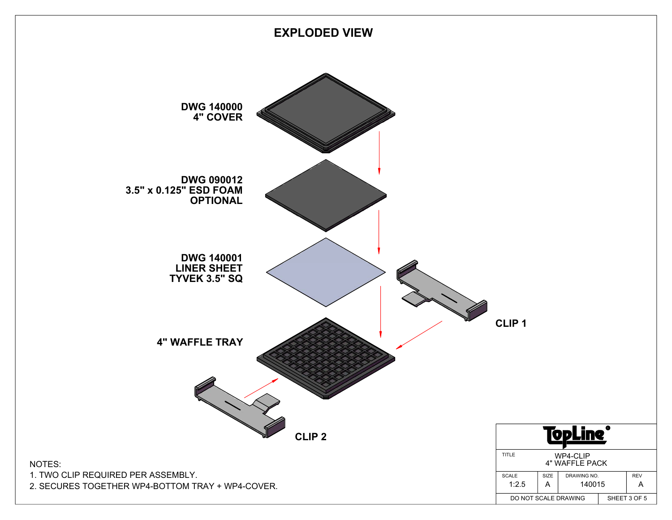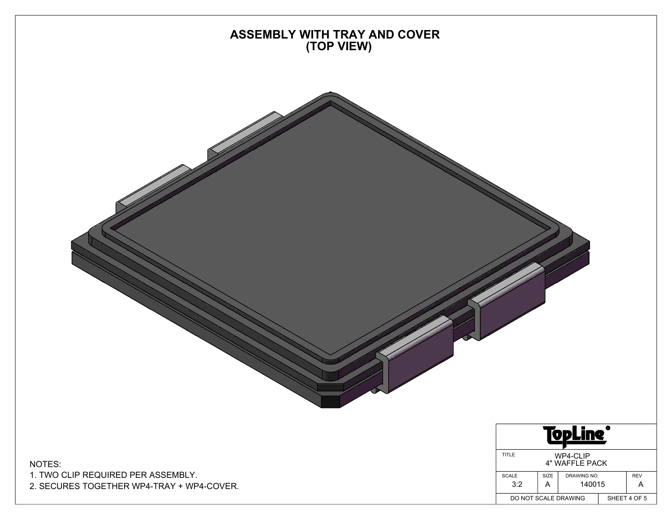